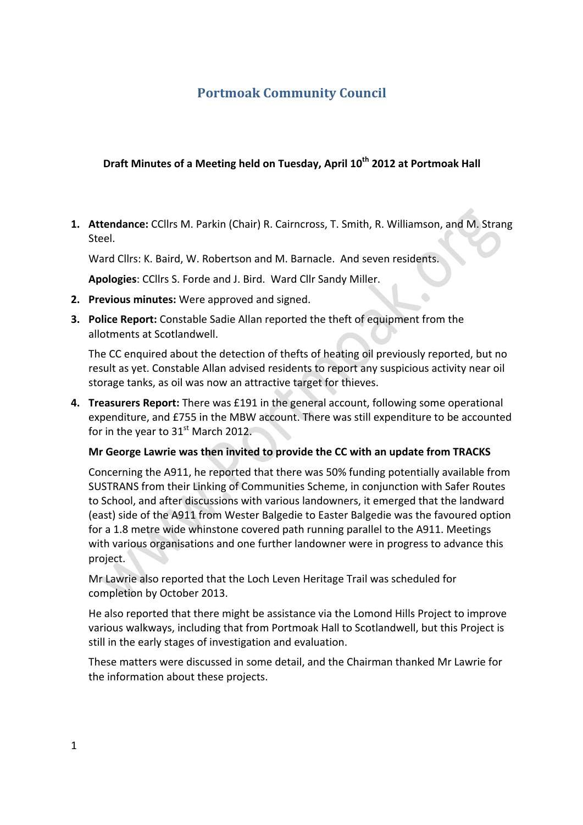# **Portmoak Community Council**

# **Draft Minutes of a Meeting held on Tuesday, April 10<sup>th</sup> 2012 at Portmoak Hall**

1. Attendance: CCllrs M. Parkin (Chair) R. Cairncross, T. Smith, R. Williamson, and M. Strang Steel.

Ward Cllrs: K. Baird, W. Robertson and M. Barnacle. And seven residents.

Apologies: CCllrs S. Forde and J. Bird. Ward Cllr Sandy Miller.

- **2.** Previous minutes: Were approved and signed.
- **3. Police Report:** Constable Sadie Allan reported the theft of equipment from the allotments at Scotlandwell.

The CC enquired about the detection of thefts of heating oil previously reported, but no result as yet. Constable Allan advised residents to report any suspicious activity near oil storage tanks, as oil was now an attractive target for thieves.

 $\hat{\phantom{a}}$ 

**4. Treasurers Report:** There was £191 in the general account, following some operational expenditure, and £755 in the MBW account. There was still expenditure to be accounted for in the year to  $31<sup>st</sup>$  March 2012.

#### **Mr George Lawrie was then invited to provide the CC with an update from TRACKS**

Concerning the A911, he reported that there was 50% funding potentially available from SUSTRANS from their Linking of Communities Scheme, in conjunction with Safer Routes to School, and after discussions with various landowners, it emerged that the landward (east) side of the A911 from Wester Balgedie to Easter Balgedie was the favoured option for a 1.8 metre wide whinstone covered path running parallel to the A911. Meetings with various organisations and one further landowner were in progress to advance this project. 

Mr Lawrie also reported that the Loch Leven Heritage Trail was scheduled for completion by October 2013.

He also reported that there might be assistance via the Lomond Hills Project to improve various walkways, including that from Portmoak Hall to Scotlandwell, but this Project is still in the early stages of investigation and evaluation.

These matters were discussed in some detail, and the Chairman thanked Mr Lawrie for the information about these projects.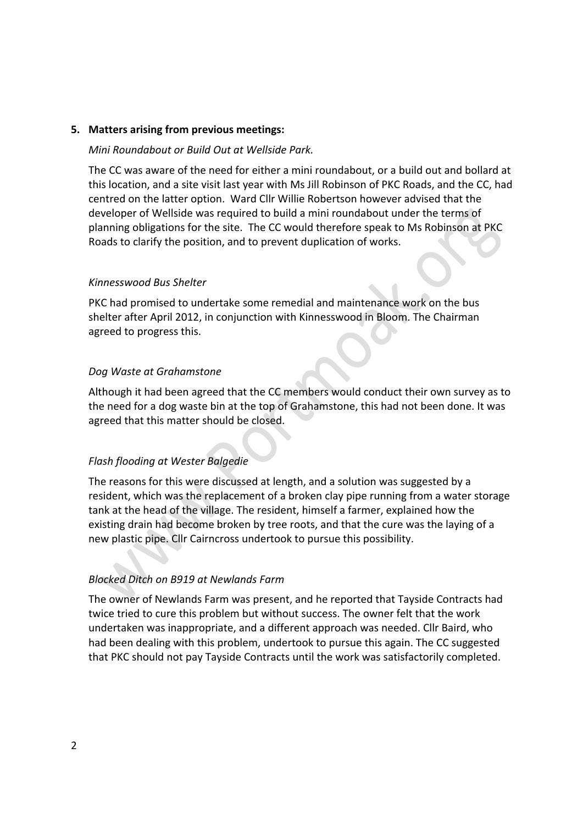#### **5. Matters arising from previous meetings:**

#### *Mini Roundabout or Build Out at Wellside Park.*

The CC was aware of the need for either a mini roundabout, or a build out and bollard at this location, and a site visit last year with Ms Jill Robinson of PKC Roads, and the CC, had centred on the latter option. Ward Cllr Willie Robertson however advised that the developer of Wellside was required to build a mini roundabout under the terms of planning obligations for the site. The CC would therefore speak to Ms Robinson at PKC Roads to clarify the position, and to prevent duplication of works.

#### *Kinnesswood Bus Shelter*

PKC had promised to undertake some remedial and maintenance work on the bus shelter after April 2012, in conjunction with Kinnesswood in Bloom. The Chairman agreed to progress this.

#### **Dog Waste at Grahamstone**

Although it had been agreed that the CC members would conduct their own survey as to the need for a dog waste bin at the top of Grahamstone, this had not been done. It was agreed that this matter should be closed.

# *Flash flooding at Wester Balgedie*

The reasons for this were discussed at length, and a solution was suggested by a resident, which was the replacement of a broken clay pipe running from a water storage tank at the head of the village. The resident, himself a farmer, explained how the existing drain had become broken by tree roots, and that the cure was the laying of a new plastic pipe. Cllr Cairncross undertook to pursue this possibility.

#### *Blocked Ditch on B919 at Newlands Farm*

The owner of Newlands Farm was present, and he reported that Tayside Contracts had twice tried to cure this problem but without success. The owner felt that the work undertaken was inappropriate, and a different approach was needed. Cllr Baird, who had been dealing with this problem, undertook to pursue this again. The CC suggested that PKC should not pay Tayside Contracts until the work was satisfactorily completed.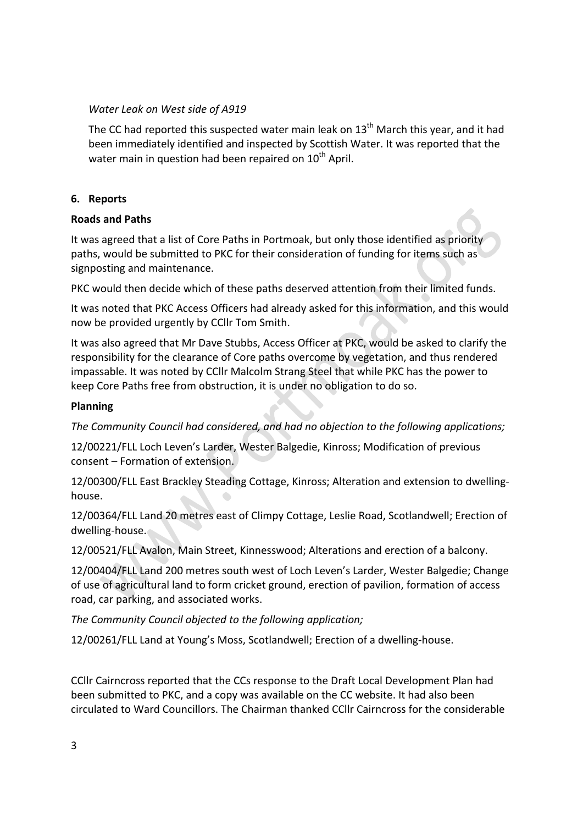### *Water Leak on West side of A919*

The CC had reported this suspected water main leak on  $13<sup>th</sup>$  March this year, and it had been immediately identified and inspected by Scottish Water. It was reported that the water main in question had been repaired on  $10<sup>th</sup>$  April.

# **6. Reports**

# **Roads and Paths**

It was agreed that a list of Core Paths in Portmoak, but only those identified as priority paths, would be submitted to PKC for their consideration of funding for items such as signposting and maintenance. 

PKC would then decide which of these paths deserved attention from their limited funds.

It was noted that PKC Access Officers had already asked for this information, and this would now be provided urgently by CCllr Tom Smith.

It was also agreed that Mr Dave Stubbs, Access Officer at PKC, would be asked to clarify the responsibility for the clearance of Core paths overcome by vegetation, and thus rendered impassable. It was noted by CCIIr Malcolm Strang Steel that while PKC has the power to keep Core Paths free from obstruction, it is under no obligation to do so.

# **Planning**

The Community Council had considered, and had no objection to the following applications;

12/00221/FLL Loch Leven's Larder, Wester Balgedie, Kinross; Modification of previous consent – Formation of extension.

12/00300/FLL East Brackley Steading Cottage, Kinross; Alteration and extension to dwellinghouse.

12/00364/FLL Land 20 metres east of Climpy Cottage, Leslie Road, Scotlandwell; Erection of dwelling-house.

12/00521/FLL Avalon, Main Street, Kinnesswood; Alterations and erection of a balcony.

12/00404/FLL Land 200 metres south west of Loch Leven's Larder, Wester Balgedie; Change of use of agricultural land to form cricket ground, erection of pavilion, formation of access road, car parking, and associated works.

The Community Council objected to the following application;

12/00261/FLL Land at Young's Moss, Scotlandwell; Erection of a dwelling-house.

CCIIr Cairncross reported that the CCs response to the Draft Local Development Plan had been submitted to PKC, and a copy was available on the CC website. It had also been circulated to Ward Councillors. The Chairman thanked CCllr Cairncross for the considerable